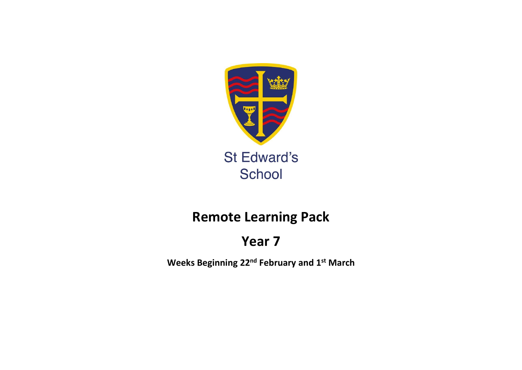

# **Remote Learning Pack**

# **Year 7**

**Weeks Beginning 22nd February and 1st March**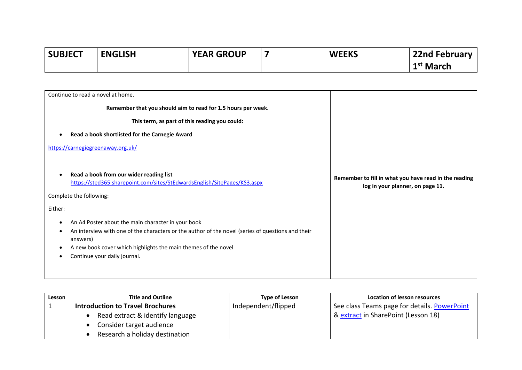| <b>SUBJECT</b> | <b>ENGLISH</b> | <b>YEAR GROUP</b> | <b>WEEKS</b> | <b>22nd February</b>  |
|----------------|----------------|-------------------|--------------|-----------------------|
|                |                |                   |              | 1 <sup>st</sup> March |

| Continue to read a novel at home.                                                                                                                                                                                                                                     |                                                                                           |
|-----------------------------------------------------------------------------------------------------------------------------------------------------------------------------------------------------------------------------------------------------------------------|-------------------------------------------------------------------------------------------|
| Remember that you should aim to read for 1.5 hours per week.                                                                                                                                                                                                          |                                                                                           |
| This term, as part of this reading you could:                                                                                                                                                                                                                         |                                                                                           |
| Read a book shortlisted for the Carnegie Award                                                                                                                                                                                                                        |                                                                                           |
| https://carnegiegreenaway.org.uk/                                                                                                                                                                                                                                     |                                                                                           |
|                                                                                                                                                                                                                                                                       |                                                                                           |
| Read a book from our wider reading list<br>https://sted365.sharepoint.com/sites/StEdwardsEnglish/SitePages/KS3.aspx                                                                                                                                                   | Remember to fill in what you have read in the reading<br>log in your planner, on page 11. |
| Complete the following:                                                                                                                                                                                                                                               |                                                                                           |
| Either:                                                                                                                                                                                                                                                               |                                                                                           |
| An A4 Poster about the main character in your book<br>An interview with one of the characters or the author of the novel (series of questions and their<br>answers)<br>A new book cover which highlights the main themes of the novel<br>Continue your daily journal. |                                                                                           |

| Lesson | <b>Title and Outline</b>                | Type of Lesson      | Location of lesson resources                 |
|--------|-----------------------------------------|---------------------|----------------------------------------------|
|        | <b>Introduction to Travel Brochures</b> | Independent/flipped | See class Teams page for details. PowerPoint |
|        | Read extract & identify language        |                     | & extract in SharePoint (Lesson 18)          |
|        | Consider target audience                |                     |                                              |
|        | Research a holiday destination          |                     |                                              |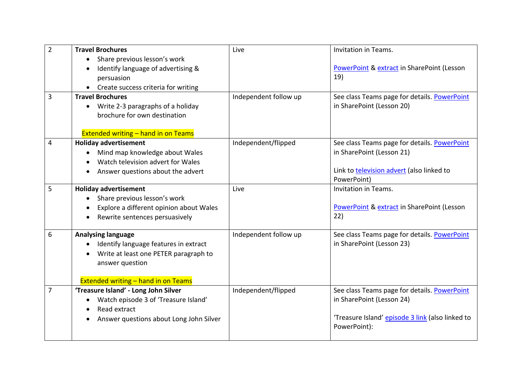| $\overline{2}$ | <b>Travel Brochures</b>                                                                                                                                                                   | Live                  | Invitation in Teams.                                                                                                                          |
|----------------|-------------------------------------------------------------------------------------------------------------------------------------------------------------------------------------------|-----------------------|-----------------------------------------------------------------------------------------------------------------------------------------------|
|                | Share previous lesson's work<br>$\bullet$<br>Identify language of advertising &<br>persuasion<br>Create success criteria for writing                                                      |                       | PowerPoint & extract in SharePoint (Lesson<br>19)                                                                                             |
| 3              | <b>Travel Brochures</b><br>Write 2-3 paragraphs of a holiday<br>$\bullet$<br>brochure for own destination<br><b>Extended writing - hand in on Teams</b>                                   | Independent follow up | See class Teams page for details. PowerPoint<br>in SharePoint (Lesson 20)                                                                     |
| 4              | <b>Holiday advertisement</b><br>Mind map knowledge about Wales<br>Watch television advert for Wales<br>Answer questions about the advert                                                  | Independent/flipped   | See class Teams page for details. PowerPoint<br>in SharePoint (Lesson 21)<br>Link to television advert (also linked to<br>PowerPoint)         |
| 5              | <b>Holiday advertisement</b><br>Share previous lesson's work<br>Explore a different opinion about Wales<br>Rewrite sentences persuasively                                                 | Live                  | <b>Invitation in Teams.</b><br>PowerPoint & extract in SharePoint (Lesson<br>22)                                                              |
| 6              | <b>Analysing language</b><br>Identify language features in extract<br>Write at least one PETER paragraph to<br>$\bullet$<br>answer question<br><b>Extended writing - hand in on Teams</b> | Independent follow up | See class Teams page for details. PowerPoint<br>in SharePoint (Lesson 23)                                                                     |
| 7              | 'Treasure Island' - Long John Silver<br>Watch episode 3 of 'Treasure Island'<br>$\bullet$<br>Read extract<br>Answer questions about Long John Silver<br>$\bullet$                         | Independent/flipped   | See class Teams page for details. PowerPoint<br>in SharePoint (Lesson 24)<br>'Treasure Island' episode 3 link (also linked to<br>PowerPoint): |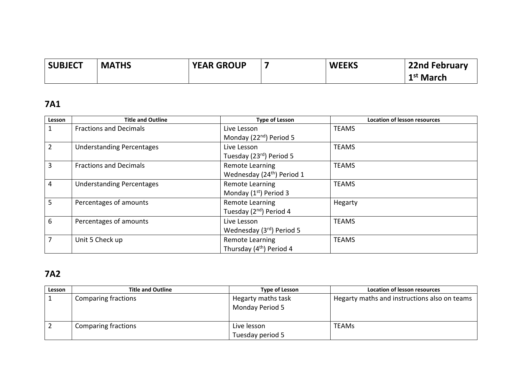| <b>SUBJECT</b> | <b>MATHS</b> | <b>YEAR GROUP</b> | <b>WEEKS</b> | 22nd February         |
|----------------|--------------|-------------------|--------------|-----------------------|
|                |              |                   |              | 1 <sup>st</sup> March |

### **7A1**

| Lesson         | <b>Title and Outline</b>         | <b>Type of Lesson</b>                  | <b>Location of lesson resources</b> |
|----------------|----------------------------------|----------------------------------------|-------------------------------------|
|                | <b>Fractions and Decimals</b>    | Live Lesson                            | <b>TEAMS</b>                        |
|                |                                  | Monday (22 <sup>nd</sup> ) Period 5    |                                     |
| $\overline{2}$ | <b>Understanding Percentages</b> | Live Lesson                            | <b>TEAMS</b>                        |
|                |                                  | Tuesday (23rd) Period 5                |                                     |
| 3              | <b>Fractions and Decimals</b>    | Remote Learning                        | <b>TEAMS</b>                        |
|                |                                  | Wednesday (24 <sup>th</sup> ) Period 1 |                                     |
| $\overline{4}$ | <b>Understanding Percentages</b> | Remote Learning                        | <b>TEAMS</b>                        |
|                |                                  | Monday $(1st)$ Period 3                |                                     |
| 5              | Percentages of amounts           | Remote Learning                        | Hegarty                             |
|                |                                  | Tuesday (2 <sup>nd</sup> ) Period 4    |                                     |
| 6              | Percentages of amounts           | Live Lesson                            | <b>TEAMS</b>                        |
|                |                                  | Wednesday (3rd) Period 5               |                                     |
| 7              | Unit 5 Check up                  | Remote Learning                        | <b>TEAMS</b>                        |
|                |                                  | Thursday (4 <sup>th</sup> ) Period 4   |                                     |

# **7A2**

| Lesson | <b>Title and Outline</b>   | Type of Lesson                        | Location of lesson resources                 |
|--------|----------------------------|---------------------------------------|----------------------------------------------|
|        | Comparing fractions        | Hegarty maths task<br>Monday Period 5 | Hegarty maths and instructions also on teams |
|        | <b>Comparing fractions</b> | Live lesson<br>Tuesday period 5       | <b>TEAMs</b>                                 |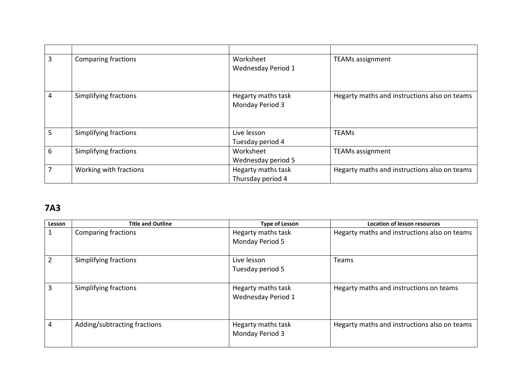| 3 | <b>Comparing fractions</b> | Worksheet<br>Wednesday Period 1         | <b>TEAMs assignment</b>                      |
|---|----------------------------|-----------------------------------------|----------------------------------------------|
| 4 | Simplifying fractions      | Hegarty maths task<br>Monday Period 3   | Hegarty maths and instructions also on teams |
| 5 | Simplifying fractions      | Live lesson<br>Tuesday period 4         | <b>TEAMs</b>                                 |
| 6 | Simplifying fractions      | Worksheet<br>Wednesday period 5         | <b>TEAMs assignment</b>                      |
| 7 | Working with fractions     | Hegarty maths task<br>Thursday period 4 | Hegarty maths and instructions also on teams |

### **7A3**

| Lesson         | <b>Title and Outline</b>     | <b>Type of Lesson</b>                    | <b>Location of lesson resources</b>          |
|----------------|------------------------------|------------------------------------------|----------------------------------------------|
| 1              | <b>Comparing fractions</b>   | Hegarty maths task<br>Monday Period 5    | Hegarty maths and instructions also on teams |
| $\overline{2}$ | Simplifying fractions        | Live lesson<br>Tuesday period 5          | Teams                                        |
| 3              | Simplifying fractions        | Hegarty maths task<br>Wednesday Period 1 | Hegarty maths and instructions on teams      |
| 4              | Adding/subtracting fractions | Hegarty maths task<br>Monday Period 3    | Hegarty maths and instructions also on teams |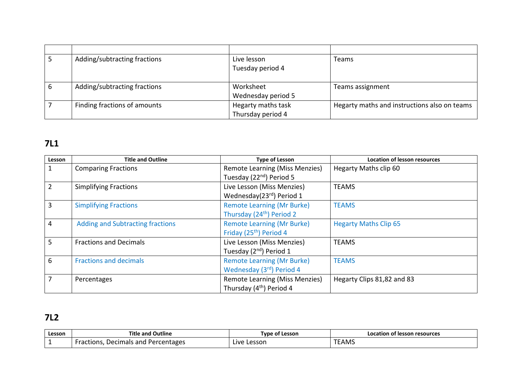| Adding/subtracting fractions | Live lesson        | Teams                                        |
|------------------------------|--------------------|----------------------------------------------|
|                              | Tuesday period 4   |                                              |
|                              |                    |                                              |
| Adding/subtracting fractions | Worksheet          | Teams assignment                             |
|                              | Wednesday period 5 |                                              |
| Finding fractions of amounts | Hegarty maths task | Hegarty maths and instructions also on teams |
|                              | Thursday period 4  |                                              |

# **7L1**

| Lesson         | <b>Title and Outline</b>                | <b>Type of Lesson</b>                                  | <b>Location of lesson resources</b> |
|----------------|-----------------------------------------|--------------------------------------------------------|-------------------------------------|
| $\mathbf{1}$   | <b>Comparing Fractions</b>              | <b>Remote Learning (Miss Menzies)</b>                  | Hegarty Maths clip 60               |
|                |                                         | Tuesday (22 <sup>nd</sup> ) Period 5                   |                                     |
| $\overline{2}$ | <b>Simplifying Fractions</b>            | Live Lesson (Miss Menzies)<br>Wednesday(23rd) Period 1 | <b>TEAMS</b>                        |
|                |                                         |                                                        |                                     |
| $\overline{3}$ | <b>Simplifying Fractions</b>            | <b>Remote Learning (Mr Burke)</b>                      | <b>TEAMS</b>                        |
|                |                                         | Thursday (24 <sup>th</sup> ) Period 2                  |                                     |
| 4              | <b>Adding and Subtracting fractions</b> | <b>Remote Learning (Mr Burke)</b>                      | <b>Hegarty Maths Clip 65</b>        |
|                |                                         | Friday (25 <sup>th</sup> ) Period 4                    |                                     |
| 5 <sup>5</sup> | <b>Fractions and Decimals</b>           | Live Lesson (Miss Menzies)                             | <b>TEAMS</b>                        |
|                |                                         | Tuesday (2 <sup>nd</sup> ) Period 1                    |                                     |
| 6              | <b>Fractions and decimals</b>           | <b>Remote Learning (Mr Burke)</b>                      | <b>TEAMS</b>                        |
|                |                                         | Wednesday (3rd) Period 4                               |                                     |
| $\overline{7}$ | Percentages                             | <b>Remote Learning (Miss Menzies)</b>                  | Hegarty Clips 81,82 and 83          |
|                |                                         | Thursday (4 <sup>th</sup> ) Period 4                   |                                     |

# **7L2**

| Lesson | <b>Title and Outline</b>                                    | <b>Tvpe</b><br>: of Lesson | Location of lesson resources |
|--------|-------------------------------------------------------------|----------------------------|------------------------------|
|        | $     -$<br>Decimals and '<br>Percentages<br>tions.<br>'dL. | Lessor<br>∟ive             | <b>TEAMS</b>                 |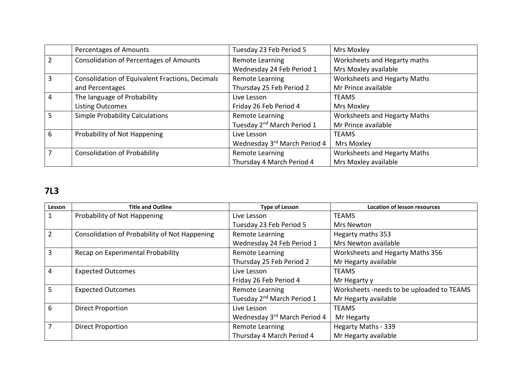|   | Percentages of Amounts                          | Tuesday 23 Feb Period 5                | Mrs Moxley                   |
|---|-------------------------------------------------|----------------------------------------|------------------------------|
|   | <b>Consolidation of Percentages of Amounts</b>  | Remote Learning                        | Worksheets and Hegarty maths |
|   |                                                 | Wednesday 24 Feb Period 1              | Mrs Moxley available         |
| 3 | Consolidation of Equivalent Fractions, Decimals | Remote Learning                        | Worksheets and Hegarty Maths |
|   | and Percentages                                 | Thursday 25 Feb Period 2               | Mr Prince available          |
| 4 | The language of Probability                     | Live Lesson                            | <b>TEAMS</b>                 |
|   | <b>Listing Outcomes</b>                         | Friday 26 Feb Period 4                 | Mrs Moxley                   |
|   | <b>Simple Probability Calculations</b>          | Remote Learning                        | Worksheets and Hegarty Maths |
|   |                                                 | Tuesday 2 <sup>nd</sup> March Period 1 | Mr Prince available          |
| 6 | Probability of Not Happening                    | Live Lesson                            | <b>TEAMS</b>                 |
|   |                                                 | Wednesday 3rd March Period 4           | Mrs Moxley                   |
|   | <b>Consolidation of Probability</b>             | Remote Learning                        | Worksheets and Hegarty Maths |
|   |                                                 | Thursday 4 March Period 4              | Mrs Moxley available         |

# **7L3**

| Lesson         | <b>Title and Outline</b>                      | <b>Type of Lesson</b>                  | <b>Location of lesson resources</b>       |
|----------------|-----------------------------------------------|----------------------------------------|-------------------------------------------|
| $\mathbf{1}$   | Probability of Not Happening                  | Live Lesson                            | <b>TEAMS</b>                              |
|                |                                               | Tuesday 23 Feb Period 5                | Mrs Newton                                |
| $\overline{2}$ | Consolidation of Probability of Not Happening | Remote Learning                        | Hegarty maths 353                         |
|                |                                               | Wednesday 24 Feb Period 1              | Mrs Newton available                      |
| $\overline{3}$ | Recap on Experimental Probability             | Remote Learning                        | Worksheets and Hegarty Maths 356          |
|                |                                               | Thursday 25 Feb Period 2               | Mr Hegarty available                      |
| $\overline{4}$ | <b>Expected Outcomes</b>                      | Live Lesson                            | <b>TEAMS</b>                              |
|                |                                               | Friday 26 Feb Period 4                 | Mr Hegarty y                              |
| 5 <sup>1</sup> | <b>Expected Outcomes</b>                      | Remote Learning                        | Worksheets -needs to be uploaded to TEAMS |
|                |                                               | Tuesday 2 <sup>nd</sup> March Period 1 | Mr Hegarty available                      |
| 6              | <b>Direct Proportion</b>                      | Live Lesson                            | <b>TEAMS</b>                              |
|                |                                               | Wednesday 3rd March Period 4           | Mr Hegarty                                |
| $\overline{7}$ | <b>Direct Proportion</b>                      | Remote Learning                        | Hegarty Maths - 339                       |
|                |                                               | Thursday 4 March Period 4              | Mr Hegarty available                      |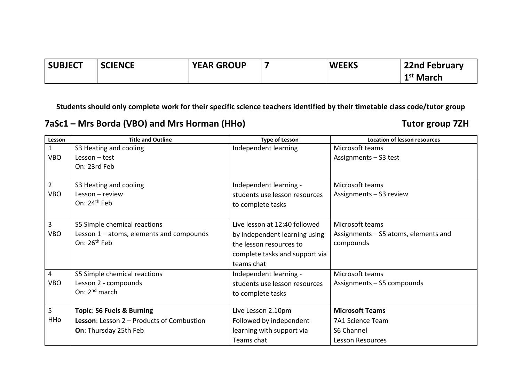| <b>SUBJECT</b> | <b>SCIENCE</b> | <b>YEAR GROUP</b> | <b>WEEKS</b> | <b>22nd February</b>  |
|----------------|----------------|-------------------|--------------|-----------------------|
|                |                |                   |              | 1 <sup>st</sup> March |

**7aSc1 – Mrs Borda (VBO) and Mrs Horman (HHo) Tutor group 7ZH**

| Lesson         | <b>Title and Outline</b>                         | <b>Type of Lesson</b>          | <b>Location of lesson resources</b>  |
|----------------|--------------------------------------------------|--------------------------------|--------------------------------------|
| $\mathbf{1}$   | S3 Heating and cooling                           | Independent learning           | Microsoft teams                      |
| <b>VBO</b>     | $Lesson - test$                                  |                                | Assignments - S3 test                |
|                | On: 23rd Feb                                     |                                |                                      |
|                |                                                  |                                |                                      |
| $\overline{2}$ | S3 Heating and cooling                           | Independent learning -         | Microsoft teams                      |
| <b>VBO</b>     | Lesson - review                                  | students use lesson resources  | Assignments - S3 review              |
|                | On: $24th$ Feb                                   | to complete tasks              |                                      |
|                |                                                  |                                |                                      |
| 3              | S5 Simple chemical reactions                     | Live lesson at 12:40 followed  | Microsoft teams                      |
| <b>VBO</b>     | Lesson $1$ – atoms, elements and compounds       | by independent learning using  | Assignments - S5 atoms, elements and |
|                | On: $26th$ Feb                                   | the lesson resources to        | compounds                            |
|                |                                                  | complete tasks and support via |                                      |
|                |                                                  | teams chat                     |                                      |
| $\overline{4}$ | S5 Simple chemical reactions                     | Independent learning -         | Microsoft teams                      |
| <b>VBO</b>     | Lesson 2 - compounds                             | students use lesson resources  | Assignments - S5 compounds           |
|                | On: $2^{nd}$ march                               | to complete tasks              |                                      |
|                |                                                  |                                |                                      |
| 5              | <b>Topic: S6 Fuels &amp; Burning</b>             | Live Lesson 2.10pm             | <b>Microsoft Teams</b>               |
| HHo            | <b>Lesson:</b> Lesson 2 – Products of Combustion | Followed by independent        | 7A1 Science Team                     |
|                | <b>On: Thursday 25th Feb</b>                     | learning with support via      | S6 Channel                           |
|                |                                                  | Teams chat                     | <b>Lesson Resources</b>              |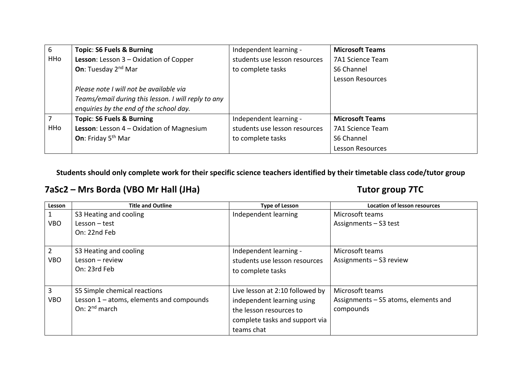| 6   | <b>Topic: S6 Fuels &amp; Burning</b>                | Independent learning -        | <b>Microsoft Teams</b>  |
|-----|-----------------------------------------------------|-------------------------------|-------------------------|
| HHo | Lesson: Lesson 3 - Oxidation of Copper              | students use lesson resources | 7A1 Science Team        |
|     | <b>On:</b> Tuesday 2 <sup>nd</sup> Mar              | to complete tasks             | S6 Channel              |
|     |                                                     |                               | <b>Lesson Resources</b> |
|     | Please note I will not be available via             |                               |                         |
|     | Teams/email during this lesson. I will reply to any |                               |                         |
|     | enquiries by the end of the school day.             |                               |                         |
|     | <b>Topic: S6 Fuels &amp; Burning</b>                | Independent learning -        | <b>Microsoft Teams</b>  |
| HHo | <b>Lesson:</b> Lesson $4$ – Oxidation of Magnesium  | students use lesson resources | <b>7A1 Science Team</b> |
|     | On: Friday 5 <sup>th</sup> Mar                      | to complete tasks             | S6 Channel              |
|     |                                                     |                               | <b>Lesson Resources</b> |

#### **7aSc2 – Mrs Borda (VBO Mr Hall (JHa) Tutor group 7TC**

| Lesson     | <b>Title and Outline</b>                 | <b>Type of Lesson</b>           | <b>Location of lesson resources</b>  |
|------------|------------------------------------------|---------------------------------|--------------------------------------|
|            | S3 Heating and cooling                   | Independent learning            | Microsoft teams                      |
| <b>VBO</b> | $Lesson - test$                          |                                 | Assignments - S3 test                |
|            | On: 22nd Feb                             |                                 |                                      |
|            |                                          |                                 |                                      |
| 2          | S3 Heating and cooling                   | Independent learning -          | Microsoft teams                      |
| <b>VBO</b> | $Lesson - review$                        | students use lesson resources   | Assignments - S3 review              |
|            | On: 23rd Feb                             | to complete tasks               |                                      |
|            |                                          |                                 |                                      |
| 3          | S5 Simple chemical reactions             | Live lesson at 2:10 followed by | Microsoft teams                      |
| <b>VBO</b> | Lesson 1 - atoms, elements and compounds | independent learning using      | Assignments – S5 atoms, elements and |
|            | On: $2^{nd}$ march                       | the lesson resources to         | compounds                            |
|            |                                          | complete tasks and support via  |                                      |
|            |                                          | teams chat                      |                                      |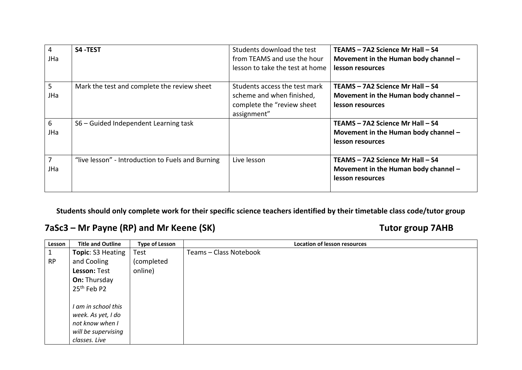| 4<br>JHa | S4-TEST                                           | Students download the test<br>from TEAMS and use the hour<br>lesson to take the test at home            | TEAMS - 7A2 Science Mr Hall - S4<br>Movement in the Human body channel -<br>lesson resources |
|----------|---------------------------------------------------|---------------------------------------------------------------------------------------------------------|----------------------------------------------------------------------------------------------|
| 5<br>JHa | Mark the test and complete the review sheet       | Students access the test mark<br>scheme and when finished,<br>complete the "review sheet<br>assignment" | TEAMS - 7A2 Science Mr Hall - S4<br>Movement in the Human body channel -<br>lesson resources |
| 6<br>JHa | S6 - Guided Independent Learning task             |                                                                                                         | TEAMS - 7A2 Science Mr Hall - S4<br>Movement in the Human body channel -<br>lesson resources |
| 7<br>JHa | "live lesson" - Introduction to Fuels and Burning | Live lesson                                                                                             | TEAMS - 7A2 Science Mr Hall - S4<br>Movement in the Human body channel -<br>lesson resources |

#### **7aSc3 – Mr Payne (RP) and Mr Keene (SK) Tutor group 7AHB**

| Lesson    | <b>Title and Outline</b> | <b>Type of Lesson</b> | <b>Location of lesson resources</b> |
|-----------|--------------------------|-----------------------|-------------------------------------|
| Ŧ.        | Topic: S3 Heating        | Test                  | Teams - Class Notebook              |
| <b>RP</b> | and Cooling              | (completed            |                                     |
|           | Lesson: Test             | online)               |                                     |
|           | <b>On: Thursday</b>      |                       |                                     |
|           | 25 <sup>th</sup> Feb P2  |                       |                                     |
|           |                          |                       |                                     |
|           | I am in school this      |                       |                                     |
|           | week. As yet, I do       |                       |                                     |
|           | not know when I          |                       |                                     |
|           | will be supervising      |                       |                                     |
|           | classes. Live            |                       |                                     |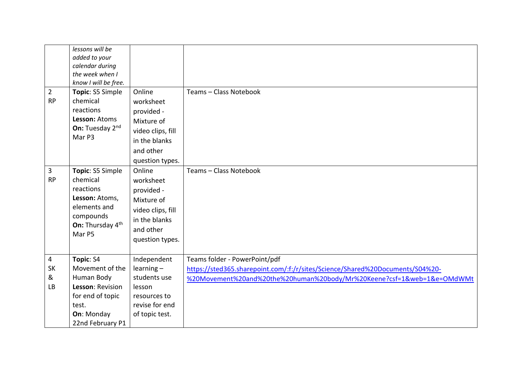|                | lessons will be<br>added to your<br>calendar during<br>the week when I |                              |                                                                               |
|----------------|------------------------------------------------------------------------|------------------------------|-------------------------------------------------------------------------------|
| $\overline{2}$ | know I will be free.<br>Topic: S5 Simple                               | Online                       | Teams - Class Notebook                                                        |
| <b>RP</b>      | chemical                                                               | worksheet                    |                                                                               |
|                | reactions                                                              | provided -                   |                                                                               |
|                | Lesson: Atoms                                                          | Mixture of                   |                                                                               |
|                | On: Tuesday 2nd                                                        | video clips, fill            |                                                                               |
|                | Mar P3                                                                 | in the blanks                |                                                                               |
|                |                                                                        | and other                    |                                                                               |
|                |                                                                        | question types.              |                                                                               |
| 3              | Topic: S5 Simple                                                       | Online                       | Teams - Class Notebook                                                        |
| <b>RP</b>      | chemical                                                               | worksheet                    |                                                                               |
|                | reactions                                                              | provided -                   |                                                                               |
|                | Lesson: Atoms,                                                         | Mixture of                   |                                                                               |
|                | elements and                                                           | video clips, fill            |                                                                               |
|                | compounds<br>On: Thursday 4th                                          | in the blanks                |                                                                               |
|                | Mar P5                                                                 | and other                    |                                                                               |
|                |                                                                        | question types.              |                                                                               |
|                |                                                                        |                              |                                                                               |
| 4              | Topic: S4                                                              | Independent                  | Teams folder - PowerPoint/pdf                                                 |
| SK<br>&        | Movement of the<br>Human Body                                          | $learning -$<br>students use | https://sted365.sharepoint.com/:f:/r/sites/Science/Shared%20Documents/S04%20- |
| LB             | Lesson: Revision                                                       | lesson                       | %20Movement%20and%20the%20human%20body/Mr%20Keene?csf=1&web=1&e=OMdWMt        |
|                | for end of topic                                                       | resources to                 |                                                                               |
|                | test.                                                                  | revise for end               |                                                                               |
|                | On: Monday                                                             | of topic test.               |                                                                               |
|                | 22nd February P1                                                       |                              |                                                                               |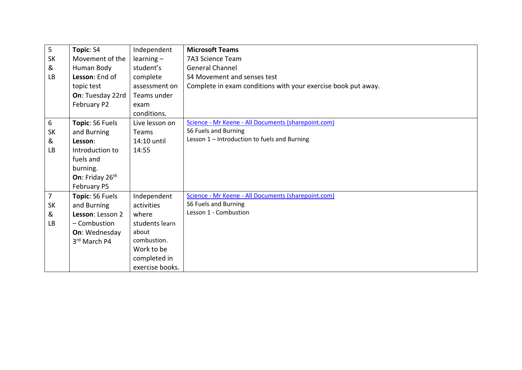| $5\phantom{a}$ | Topic: S4        | Independent     | <b>Microsoft Teams</b>                                        |
|----------------|------------------|-----------------|---------------------------------------------------------------|
| <b>SK</b>      | Movement of the  | $learning -$    | 7A3 Science Team                                              |
| &              | Human Body       | student's       | <b>General Channel</b>                                        |
| <b>LB</b>      | Lesson: End of   | complete        | S4 Movement and senses test                                   |
|                | topic test       | assessment on   | Complete in exam conditions with your exercise book put away. |
|                | On: Tuesday 22rd | Teams under     |                                                               |
|                | February P2      | exam            |                                                               |
|                |                  | conditions.     |                                                               |
| 6              | Topic: S6 Fuels  | Live lesson on  | Science - Mr Keene - All Documents (sharepoint.com)           |
| <b>SK</b>      | and Burning      | <b>Teams</b>    | S6 Fuels and Burning                                          |
| &              | Lesson:          | 14:10 until     | Lesson 1 - Introduction to fuels and Burning                  |
| LB             | Introduction to  | 14:55           |                                                               |
|                | fuels and        |                 |                                                               |
|                | burning.         |                 |                                                               |
|                | On: Friday 26th  |                 |                                                               |
|                | February P5      |                 |                                                               |
| $\overline{7}$ | Topic: S6 Fuels  | Independent     | Science - Mr Keene - All Documents (sharepoint.com)           |
| <b>SK</b>      | and Burning      | activities      | S6 Fuels and Burning                                          |
| &              | Lesson: Lesson 2 | where           | Lesson 1 - Combustion                                         |
| <b>LB</b>      | - Combustion     | students learn  |                                                               |
|                | On: Wednesday    | about           |                                                               |
|                | 3rd March P4     | combustion.     |                                                               |
|                |                  | Work to be      |                                                               |
|                |                  | completed in    |                                                               |
|                |                  | exercise books. |                                                               |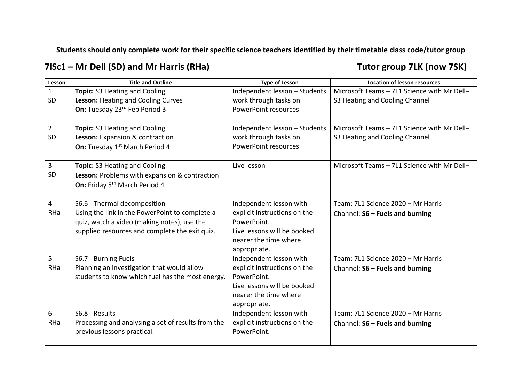**7lSc1 – Mr Dell (SD) and Mr Harris (RHa) Tutor group 7LK (now 7SK)**

| Lesson         | <b>Title and Outline</b>                           | <b>Type of Lesson</b>         | <b>Location of lesson resources</b>         |
|----------------|----------------------------------------------------|-------------------------------|---------------------------------------------|
| $\mathbf{1}$   | <b>Topic:</b> S3 Heating and Cooling               | Independent lesson - Students | Microsoft Teams - 7L1 Science with Mr Dell- |
| SD             | Lesson: Heating and Cooling Curves                 | work through tasks on         | S3 Heating and Cooling Channel              |
|                | On: Tuesday 23rd Feb Period 3                      | <b>PowerPoint resources</b>   |                                             |
|                |                                                    |                               |                                             |
| $\overline{2}$ | <b>Topic: S3 Heating and Cooling</b>               | Independent lesson - Students | Microsoft Teams - 7L1 Science with Mr Dell- |
| SD             | Lesson: Expansion & contraction                    | work through tasks on         | S3 Heating and Cooling Channel              |
|                | On: Tuesday 1st March Period 4                     | <b>PowerPoint resources</b>   |                                             |
|                |                                                    |                               |                                             |
| 3              | Topic: S3 Heating and Cooling                      | Live lesson                   | Microsoft Teams - 7L1 Science with Mr Dell- |
| SD             | Lesson: Problems with expansion & contraction      |                               |                                             |
|                | On: Friday 5 <sup>th</sup> March Period 4          |                               |                                             |
|                |                                                    |                               |                                             |
| 4              | S6.6 - Thermal decomposition                       | Independent lesson with       | Team: 7L1 Science 2020 - Mr Harris          |
| <b>RHa</b>     | Using the link in the PowerPoint to complete a     | explicit instructions on the  | Channel: S6 - Fuels and burning             |
|                | quiz, watch a video (making notes), use the        | PowerPoint.                   |                                             |
|                | supplied resources and complete the exit quiz.     | Live lessons will be booked   |                                             |
|                |                                                    | nearer the time where         |                                             |
|                |                                                    | appropriate.                  |                                             |
| 5              | S6.7 - Burning Fuels                               | Independent lesson with       | Team: 7L1 Science 2020 - Mr Harris          |
| RHa            | Planning an investigation that would allow         | explicit instructions on the  | Channel: S6 - Fuels and burning             |
|                | students to know which fuel has the most energy.   | PowerPoint.                   |                                             |
|                |                                                    | Live lessons will be booked   |                                             |
|                |                                                    | nearer the time where         |                                             |
|                |                                                    | appropriate.                  |                                             |
| 6              | S6.8 - Results                                     | Independent lesson with       | Team: 7L1 Science 2020 - Mr Harris          |
| RHa            | Processing and analysing a set of results from the | explicit instructions on the  | Channel: S6 - Fuels and burning             |
|                | previous lessons practical.                        | PowerPoint.                   |                                             |
|                |                                                    |                               |                                             |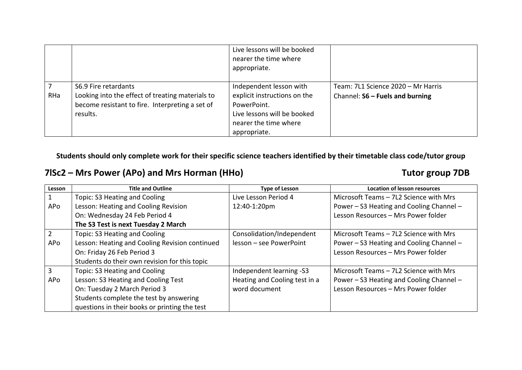|     |                                                                                                                                         | Live lessons will be booked<br>nearer the time where<br>appropriate.                                                                           |                                                                       |
|-----|-----------------------------------------------------------------------------------------------------------------------------------------|------------------------------------------------------------------------------------------------------------------------------------------------|-----------------------------------------------------------------------|
| RHa | S6.9 Fire retardants<br>Looking into the effect of treating materials to<br>become resistant to fire. Interpreting a set of<br>results. | Independent lesson with<br>explicit instructions on the<br>PowerPoint.<br>Live lessons will be booked<br>nearer the time where<br>appropriate. | Team: 7L1 Science 2020 - Mr Harris<br>Channel: S6 - Fuels and burning |

### **7lSc2 – Mrs Power (APo) and Mrs Horman (HHo) Tutor group 7DB**

| Lesson | <b>Title and Outline</b>                       | <b>Type of Lesson</b>         | <b>Location of lesson resources</b>      |
|--------|------------------------------------------------|-------------------------------|------------------------------------------|
|        | Topic: S3 Heating and Cooling                  | Live Lesson Period 4          | Microsoft Teams - 7L2 Science with Mrs   |
| APo    | Lesson: Heating and Cooling Revision           | 12:40-1:20pm                  | Power – S3 Heating and Cooling Channel – |
|        | On: Wednesday 24 Feb Period 4                  |                               | Lesson Resources - Mrs Power folder      |
|        | The S3 Test is next Tuesday 2 March            |                               |                                          |
|        | Topic: S3 Heating and Cooling                  | Consolidation/Independent     | Microsoft Teams - 7L2 Science with Mrs   |
| APo    | Lesson: Heating and Cooling Revision continued | lesson - see PowerPoint       | Power – S3 Heating and Cooling Channel – |
|        | On: Friday 26 Feb Period 3                     |                               | Lesson Resources - Mrs Power folder      |
|        | Students do their own revision for this topic  |                               |                                          |
| 3      | Topic: S3 Heating and Cooling                  | Independent learning -S3      | Microsoft Teams - 7L2 Science with Mrs   |
| APo    | Lesson: S3 Heating and Cooling Test            | Heating and Cooling test in a | Power - S3 Heating and Cooling Channel - |
|        | On: Tuesday 2 March Period 3                   | word document                 | Lesson Resources - Mrs Power folder      |
|        | Students complete the test by answering        |                               |                                          |
|        | questions in their books or printing the test  |                               |                                          |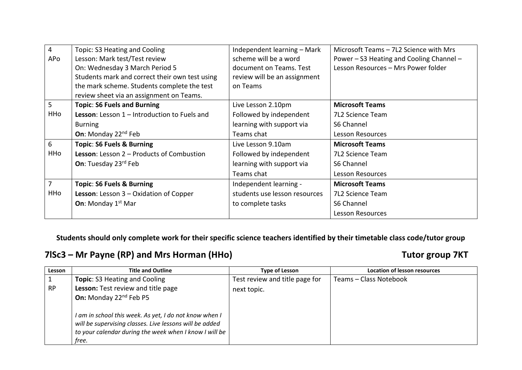| 4          | Topic: S3 Heating and Cooling                    | Independent learning - Mark   | Microsoft Teams - 7L2 Science with Mrs   |
|------------|--------------------------------------------------|-------------------------------|------------------------------------------|
| APo        | Lesson: Mark test/Test review                    | scheme will be a word         | Power - S3 Heating and Cooling Channel - |
|            | On: Wednesday 3 March Period 5                   | document on Teams. Test       | Lesson Resources - Mrs Power folder      |
|            | Students mark and correct their own test using   | review will be an assignment  |                                          |
|            | the mark scheme. Students complete the test      | on Teams                      |                                          |
|            | review sheet via an assignment on Teams.         |                               |                                          |
| 5          | <b>Topic: S6 Fuels and Burning</b>               | Live Lesson 2.10pm            | <b>Microsoft Teams</b>                   |
| HHo        | Lesson: Lesson 1 - Introduction to Fuels and     | Followed by independent       | 7L2 Science Team                         |
|            | <b>Burning</b>                                   | learning with support via     | S6 Channel                               |
|            | <b>On:</b> Monday $22^{nd}$ Feb                  | Teams chat                    | <b>Lesson Resources</b>                  |
| 6          | <b>Topic: S6 Fuels &amp; Burning</b>             | Live Lesson 9.10am            | <b>Microsoft Teams</b>                   |
| <b>HHo</b> | <b>Lesson:</b> Lesson 2 – Products of Combustion | Followed by independent       | 7L2 Science Team                         |
|            | <b>On:</b> Tuesday 23rd Feb                      | learning with support via     | S6 Channel                               |
|            |                                                  | Teams chat                    | <b>Lesson Resources</b>                  |
| 7          | <b>Topic: S6 Fuels &amp; Burning</b>             | Independent learning -        | <b>Microsoft Teams</b>                   |
| HHo        | <b>Lesson:</b> Lesson $3$ – Oxidation of Copper  | students use lesson resources | 7L2 Science Team                         |
|            | <b>On:</b> Monday $1st$ Mar                      | to complete tasks             | S6 Channel                               |
|            |                                                  |                               | <b>Lesson Resources</b>                  |

### **7lSc3 – Mr Payne (RP) and Mrs Horman (HHo) Tutor group 7KT**

| Lesson    | <b>Title and Outline</b>                                                                                                                                                             | <b>Type of Lesson</b>          | <b>Location of lesson resources</b> |
|-----------|--------------------------------------------------------------------------------------------------------------------------------------------------------------------------------------|--------------------------------|-------------------------------------|
|           | <b>Topic: S3 Heating and Cooling</b>                                                                                                                                                 | Test review and title page for | Teams - Class Notebook              |
| <b>RP</b> | Lesson: Test review and title page<br>On: Monday 22 <sup>nd</sup> Feb P5                                                                                                             | next topic.                    |                                     |
|           | I am in school this week. As yet, I do not know when I<br>will be supervising classes. Live lessons will be added<br>to your calendar during the week when I know I will be<br>free. |                                |                                     |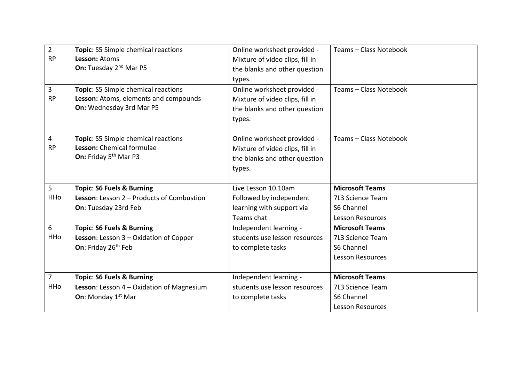| $\overline{2}$<br><b>RP</b><br>3 | Topic: S5 Simple chemical reactions<br>Lesson: Atoms<br>On: Tuesday 2 <sup>nd</sup> Mar P5<br>Topic: S5 Simple chemical reactions | Online worksheet provided -<br>Mixture of video clips, fill in<br>the blanks and other question<br>types.<br>Online worksheet provided - | Teams - Class Notebook<br>Teams - Class Notebook |
|----------------------------------|-----------------------------------------------------------------------------------------------------------------------------------|------------------------------------------------------------------------------------------------------------------------------------------|--------------------------------------------------|
| <b>RP</b>                        | Lesson: Atoms, elements and compounds<br>On: Wednesday 3rd Mar P5                                                                 | Mixture of video clips, fill in<br>the blanks and other question<br>types.                                                               |                                                  |
| 4<br><b>RP</b>                   | Topic: S5 Simple chemical reactions<br>Lesson: Chemical formulae<br>On: Friday 5 <sup>th</sup> Mar P3                             | Online worksheet provided -<br>Mixture of video clips, fill in<br>the blanks and other question<br>types.                                | Teams - Class Notebook                           |
| 5                                | <b>Topic: S6 Fuels &amp; Burning</b>                                                                                              | Live Lesson 10.10am                                                                                                                      | <b>Microsoft Teams</b>                           |
| <b>HHo</b>                       | Lesson: Lesson 2 - Products of Combustion                                                                                         | Followed by independent                                                                                                                  | 7L3 Science Team                                 |
|                                  | On: Tuesday 23rd Feb                                                                                                              | learning with support via                                                                                                                | S6 Channel                                       |
|                                  |                                                                                                                                   | Teams chat                                                                                                                               | <b>Lesson Resources</b>                          |
| 6                                | <b>Topic: S6 Fuels &amp; Burning</b>                                                                                              | Independent learning -                                                                                                                   | <b>Microsoft Teams</b>                           |
| HHo                              | Lesson: Lesson 3 - Oxidation of Copper                                                                                            | students use lesson resources                                                                                                            | 7L3 Science Team                                 |
|                                  | On: Friday 26 <sup>th</sup> Feb                                                                                                   | to complete tasks                                                                                                                        | S6 Channel                                       |
|                                  |                                                                                                                                   |                                                                                                                                          | <b>Lesson Resources</b>                          |
| $\overline{7}$                   | <b>Topic: S6 Fuels &amp; Burning</b>                                                                                              | Independent learning -                                                                                                                   | <b>Microsoft Teams</b>                           |
| HHo                              | Lesson: Lesson 4 - Oxidation of Magnesium                                                                                         | students use lesson resources                                                                                                            | 7L3 Science Team                                 |
|                                  | <b>On:</b> Monday 1 <sup>st</sup> Mar                                                                                             | to complete tasks                                                                                                                        | S6 Channel                                       |
|                                  |                                                                                                                                   |                                                                                                                                          | <b>Lesson Resources</b>                          |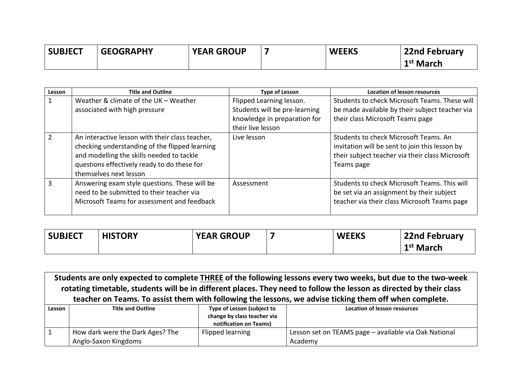| <b>SUBJECT</b> | <b>GEOGRAPHY</b> | <b>YEAR GROUP</b> | <b>WEEKS</b> | <b>22nd February</b>  |
|----------------|------------------|-------------------|--------------|-----------------------|
|                |                  |                   |              | 1 <sup>st</sup> March |

| Lesson | <b>Title and Outline</b>                                                                                                                                                                                                | <b>Type of Lesson</b>                                                                                          | <b>Location of lesson resources</b>                                                                                                                      |
|--------|-------------------------------------------------------------------------------------------------------------------------------------------------------------------------------------------------------------------------|----------------------------------------------------------------------------------------------------------------|----------------------------------------------------------------------------------------------------------------------------------------------------------|
|        | Weather & climate of the UK - Weather<br>associated with high pressure                                                                                                                                                  | Flipped Learning lesson.<br>Students will be pre-learning<br>knowledge in preparation for<br>their live lesson | Students to check Microsoft Teams. These will<br>be made available by their subject teacher via<br>their class Microsoft Teams page                      |
|        | An interactive lesson with their class teacher,<br>checking understanding of the flipped learning<br>and modelling the skills needed to tackle<br>questions effectively ready to do these for<br>themselves next lesson | Live lesson                                                                                                    | Students to check Microsoft Teams. An<br>invitation will be sent to join this lesson by<br>their subject teacher via their class Microsoft<br>Teams page |
|        | Answering exam style questions. These will be<br>need to be submitted to their teacher via<br>Microsoft Teams for assessment and feedback                                                                               | Assessment                                                                                                     | Students to check Microsoft Teams. This will<br>be set via an assignment by their subject<br>teacher via their class Microsoft Teams page                |

| <b>SUBJECT</b> | <b>HISTORY</b> | <b>YEAR GROUP</b> | <b>WEEKS</b> | <b>22nd February</b>  |
|----------------|----------------|-------------------|--------------|-----------------------|
|                |                |                   |              | 1 <sup>st</sup> March |

 $\Gamma$ 

|        | Students are only expected to complete THREE of the following lessons every two weeks, but due to the two-week<br>rotating timetable, students will be in different places. They need to follow the lesson as directed by their class |                  |                                                                                                        |  |  |  |
|--------|---------------------------------------------------------------------------------------------------------------------------------------------------------------------------------------------------------------------------------------|------------------|--------------------------------------------------------------------------------------------------------|--|--|--|
|        |                                                                                                                                                                                                                                       |                  | teacher on Teams. To assist them with following the lessons, we advise ticking them off when complete. |  |  |  |
| Lesson | Type of Lesson (subject to<br><b>Title and Outline</b><br><b>Location of lesson resources</b>                                                                                                                                         |                  |                                                                                                        |  |  |  |
|        | change by class teacher via                                                                                                                                                                                                           |                  |                                                                                                        |  |  |  |
|        | notification on Teams)                                                                                                                                                                                                                |                  |                                                                                                        |  |  |  |
|        | How dark were the Dark Ages? The                                                                                                                                                                                                      | Flipped learning | Lesson set on TEAMS page - available via Oak National                                                  |  |  |  |
|        | Anglo-Saxon Kingdoms                                                                                                                                                                                                                  |                  | Academy                                                                                                |  |  |  |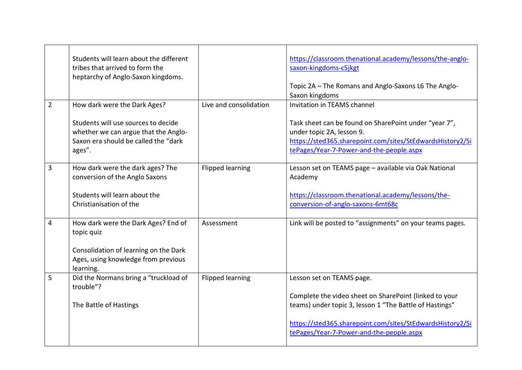|                | Students will learn about the different<br>tribes that arrived to form the<br>heptarchy of Anglo-Saxon kingdoms.              |                         | https://classroom.thenational.academy/lessons/the-anglo-<br>saxon-kingdoms-c5jkgt<br>Topic 2A - The Romans and Anglo-Saxons L6 The Anglo-<br>Saxon kingdoms                                                                |
|----------------|-------------------------------------------------------------------------------------------------------------------------------|-------------------------|----------------------------------------------------------------------------------------------------------------------------------------------------------------------------------------------------------------------------|
| $\overline{2}$ | How dark were the Dark Ages?                                                                                                  | Live and consolidation  | Invitation in TEAMS channel                                                                                                                                                                                                |
|                | Students will use sources to decide<br>whether we can argue that the Anglo-<br>Saxon era should be called the "dark<br>ages". |                         | Task sheet can be found on SharePoint under "year 7",<br>under topic 2A, lesson 9.<br>https://sted365.sharepoint.com/sites/StEdwardsHistory2/Si<br>tePages/Year-7-Power-and-the-people.aspx                                |
| 3              | How dark were the dark ages? The                                                                                              | <b>Flipped learning</b> | Lesson set on TEAMS page - available via Oak National                                                                                                                                                                      |
|                | conversion of the Anglo Saxons                                                                                                |                         | Academy                                                                                                                                                                                                                    |
|                | Students will learn about the<br>Christianisation of the                                                                      |                         | https://classroom.thenational.academy/lessons/the-<br>conversion-of-anglo-saxons-6mt68c                                                                                                                                    |
| 4              | How dark were the Dark Ages? End of<br>topic quiz                                                                             | Assessment              | Link will be posted to "assignments" on your teams pages.                                                                                                                                                                  |
|                | Consolidation of learning on the Dark<br>Ages, using knowledge from previous<br>learning.                                     |                         |                                                                                                                                                                                                                            |
| 5              | Did the Normans bring a "truckload of                                                                                         | <b>Flipped learning</b> | Lesson set on TEAMS page.                                                                                                                                                                                                  |
|                | trouble"?<br>The Battle of Hastings                                                                                           |                         | Complete the video sheet on SharePoint (linked to your<br>teams) under topic 3, lesson 1 "The Battle of Hastings"<br>https://sted365.sharepoint.com/sites/StEdwardsHistory2/Si<br>tePages/Year-7-Power-and-the-people.aspx |
|                |                                                                                                                               |                         |                                                                                                                                                                                                                            |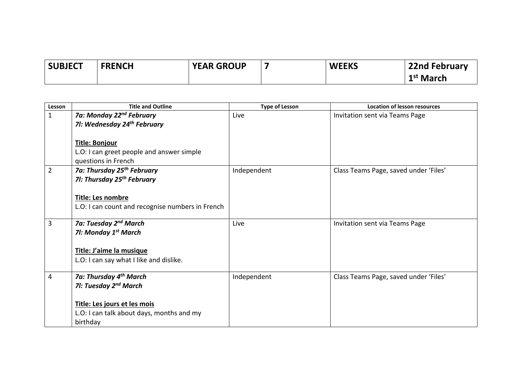| <b>SUBJECT</b> | <b>FRENCH</b> | <b>YEAR GROUP</b> | <b>WEEKS</b> | <b>22nd February</b> |
|----------------|---------------|-------------------|--------------|----------------------|
|                |               |                   |              | $1st$ March          |

| Lesson         | <b>Title and Outline</b>                         | <b>Type of Lesson</b> | <b>Location of lesson resources</b>   |
|----------------|--------------------------------------------------|-----------------------|---------------------------------------|
| $\mathbf{1}$   | 7a: Monday 22 <sup>nd</sup> February             | Live                  | Invitation sent via Teams Page        |
|                | 71: Wednesday 24 <sup>th</sup> February          |                       |                                       |
|                |                                                  |                       |                                       |
|                | <b>Title: Bonjour</b>                            |                       |                                       |
|                | L.O: I can greet people and answer simple        |                       |                                       |
|                | questions in French                              |                       |                                       |
| $\overline{2}$ | 7a: Thursday 25 <sup>th</sup> February           | Independent           | Class Teams Page, saved under 'Files' |
|                | 71: Thursday 25 <sup>th</sup> February           |                       |                                       |
|                |                                                  |                       |                                       |
|                | Title: Les nombre                                |                       |                                       |
|                | L.O: I can count and recognise numbers in French |                       |                                       |
|                |                                                  |                       |                                       |
| 3              | 7a: Tuesday 2 <sup>nd</sup> March                | Live                  | Invitation sent via Teams Page        |
|                | 71: Monday 1 <sup>st</sup> March                 |                       |                                       |
|                |                                                  |                       |                                       |
|                | Title: J'aime la musique                         |                       |                                       |
|                | L.O: I can say what I like and dislike.          |                       |                                       |
|                |                                                  |                       |                                       |
| 4              | 7a: Thursday 4 <sup>th</sup> March               | Independent           | Class Teams Page, saved under 'Files' |
|                | 71: Tuesday 2 <sup>nd</sup> March                |                       |                                       |
|                |                                                  |                       |                                       |
|                | Title: Les jours et les mois                     |                       |                                       |
|                | L.O: I can talk about days, months and my        |                       |                                       |
|                | birthday                                         |                       |                                       |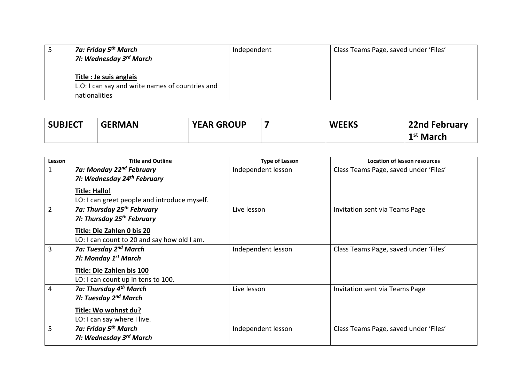| 7a: Friday 5 <sup>th</sup> March<br>7I: Wednesday 3 <sup>rd</sup> March                     | Independent | Class Teams Page, saved under 'Files' |
|---------------------------------------------------------------------------------------------|-------------|---------------------------------------|
| Title : Je suis anglais<br>L.O: I can say and write names of countries and<br>nationalities |             |                                       |

| <b>SUBJECT</b> | <b>GERMAN</b> | <b>YEAR GROUP</b> | <b>WEEKS</b> | <b>22nd February</b>  |
|----------------|---------------|-------------------|--------------|-----------------------|
|                |               |                   |              | 1 <sup>st</sup> March |

| Lesson         | <b>Title and Outline</b>                     | <b>Type of Lesson</b> | <b>Location of lesson resources</b>   |
|----------------|----------------------------------------------|-----------------------|---------------------------------------|
| $\mathbf{1}$   | 7a: Monday 22 <sup>nd</sup> February         | Independent lesson    | Class Teams Page, saved under 'Files' |
|                | 71: Wednesday 24 <sup>th</sup> February      |                       |                                       |
|                | <b>Title: Hallo!</b>                         |                       |                                       |
|                | LO: I can greet people and introduce myself. |                       |                                       |
| $\overline{2}$ | 7a: Thursday 25 <sup>th</sup> February       | Live lesson           | Invitation sent via Teams Page        |
|                | 71: Thursday 25 <sup>th</sup> February       |                       |                                       |
|                | Title: Die Zahlen 0 bis 20                   |                       |                                       |
|                | LO: I can count to 20 and say how old I am.  |                       |                                       |
| 3              | 7a: Tuesday 2 <sup>nd</sup> March            | Independent lesson    | Class Teams Page, saved under 'Files' |
|                | 71: Monday 1 <sup>st</sup> March             |                       |                                       |
|                | <b>Title: Die Zahlen bis 100</b>             |                       |                                       |
|                | LO: I can count up in tens to 100.           |                       |                                       |
| 4              | 7a: Thursday 4 <sup>th</sup> March           | Live lesson           | Invitation sent via Teams Page        |
|                | 71: Tuesday 2 <sup>nd</sup> March            |                       |                                       |
|                | Title: Wo wohnst du?                         |                       |                                       |
|                | LO: I can say where I live.                  |                       |                                       |
| 5              | 7a: Friday 5 <sup>th</sup> March             | Independent lesson    | Class Teams Page, saved under 'Files' |
|                | 71: Wednesday 3 <sup>rd</sup> March          |                       |                                       |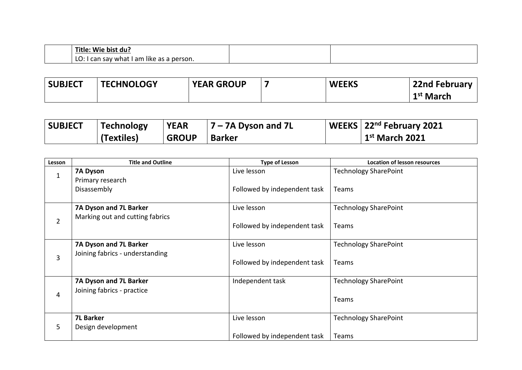| Title:<br>bist du<br><b>Wie</b>                                                    |  |
|------------------------------------------------------------------------------------|--|
| .<br>am<br>LÕ<br>person.<br>like<br>what '<br>sav<br>--<br>$\sim$<br>i Cdi<br>dS d |  |

| <b>SUBJECT</b> | <b>TECHNOLOGY</b> | <b>YEAR GROUP</b> | <b>WEEKS</b> | 22nd February         |
|----------------|-------------------|-------------------|--------------|-----------------------|
|                |                   |                   |              | 1 <sup>st</sup> March |

| <b>SUBJECT</b> | Technology | <b>YEAR</b>  | $7 - 7A$ Dyson and 7L | WEEKS $\sqrt{22^{nd}}$ February 2021 |
|----------------|------------|--------------|-----------------------|--------------------------------------|
|                | (Textiles) | <b>GROUP</b> | <b>Barker</b>         | $\vert$ 1 <sup>st</sup> March 2021   |

| Lesson         | <b>Title and Outline</b>                                  | <b>Type of Lesson</b>        | <b>Location of lesson resources</b> |
|----------------|-----------------------------------------------------------|------------------------------|-------------------------------------|
| $\mathbf{1}$   | 7A Dyson<br>Primary research                              | Live lesson                  | <b>Technology SharePoint</b>        |
|                | Disassembly                                               | Followed by independent task | Teams                               |
| $\overline{2}$ | 7A Dyson and 7L Barker<br>Marking out and cutting fabrics | Live lesson                  | <b>Technology SharePoint</b>        |
|                |                                                           | Followed by independent task | <b>Teams</b>                        |
| 3              | 7A Dyson and 7L Barker<br>Joining fabrics - understanding | Live lesson                  | <b>Technology SharePoint</b>        |
|                |                                                           | Followed by independent task | <b>Teams</b>                        |
|                | 7A Dyson and 7L Barker<br>Joining fabrics - practice      | Independent task             | <b>Technology SharePoint</b>        |
| 4              |                                                           |                              | Teams                               |
| 5              | <b>7L Barker</b><br>Design development                    | Live lesson                  | <b>Technology SharePoint</b>        |
|                |                                                           | Followed by independent task | Teams                               |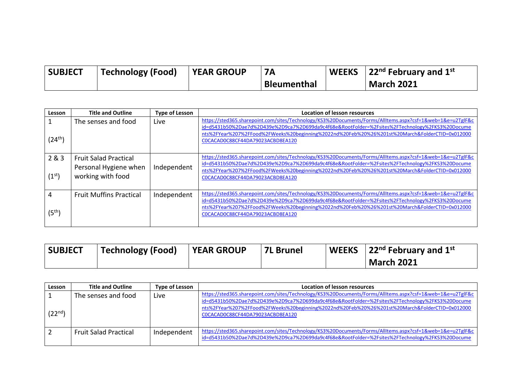| <b>SUBJECT</b> | Technology (Food) | <b>YEAR GROUP</b> |                    | WEEKS $\,$   22 <sup>nd</sup> February and 1 <sup>st</sup> |
|----------------|-------------------|-------------------|--------------------|------------------------------------------------------------|
|                |                   |                   | <b>Bleumenthal</b> | <b>March 2021</b>                                          |

| Lesson                      | <b>Title and Outline</b>                                                   | <b>Type of Lesson</b> | <b>Location of lesson resources</b>                                                                                                                                                                                                                                                                                                                 |
|-----------------------------|----------------------------------------------------------------------------|-----------------------|-----------------------------------------------------------------------------------------------------------------------------------------------------------------------------------------------------------------------------------------------------------------------------------------------------------------------------------------------------|
| $(24^{\text{th}})$          | The senses and food                                                        | Live                  | https://sted365.sharepoint.com/sites/Technology/KS3%20Documents/Forms/AllItems.aspx?csf=1&web=1&e=u2TglF&c<br>id=d5431b50%2Dae7d%2D439e%2D9ca7%2D699da9c4f68e&RootFolder=%2Fsites%2FTechnology%2FKS3%20Docume<br>nts%2FYear%207%2FFood%2FWeeks%20beginning%2022nd%20Feb%20%26%201st%20March&FolderCTID=0x012000<br>COCACADOC88CF44DA79023ACBD8EA120 |
| 2&8.3<br>(1 <sup>st</sup> ) | <b>Fruit Salad Practical</b><br>Personal Hygiene when<br>working with food | Independent           | https://sted365.sharepoint.com/sites/Technology/KS3%20Documents/Forms/AllItems.aspx?csf=1&web=1&e=u2TglF&c<br>id=d5431b50%2Dae7d%2D439e%2D9ca7%2D699da9c4f68e&RootFolder=%2Fsites%2FTechnology%2FKS3%20Docume<br>nts%2FYear%207%2FFood%2FWeeks%20beginning%2022nd%20Feb%20%26%201st%20March&FolderCTID=0x012000<br>COCACADOC88CF44DA79023ACBD8EA120 |
| 4<br>(5 <sup>th</sup> )     | <b>Fruit Muffins Practical</b>                                             | Independent           | https://sted365.sharepoint.com/sites/Technology/KS3%20Documents/Forms/AllItems.aspx?csf=1&web=1&e=u2TglF&c<br>id=d5431b50%2Dae7d%2D439e%2D9ca7%2D699da9c4f68e&RootFolder=%2Fsites%2FTechnology%2FKS3%20Docume<br>nts%2FYear%207%2FFood%2FWeeks%20beginning%2022nd%20Feb%20%26%201st%20March&FolderCTID=0x012000<br>COCACADOC88CF44DA79023ACBD8EA120 |

| <b>SUBJECT</b> | Technology (Food) | <b>YEAR GROUP</b> | <b>7L Brunel</b> | <b>WEEKS</b> 22 <sup>nd</sup> February and 1 <sup>st</sup> |
|----------------|-------------------|-------------------|------------------|------------------------------------------------------------|
|                |                   |                   |                  | <b>March 2021</b>                                          |

| Lesson      | <b>Title and Outline</b>     | Type of Lesson | Location of lesson resources                                                                                                                                                                                                                                                                                                                        |
|-------------|------------------------------|----------------|-----------------------------------------------------------------------------------------------------------------------------------------------------------------------------------------------------------------------------------------------------------------------------------------------------------------------------------------------------|
| $(22^{nd})$ | The senses and food          | Live           | https://sted365.sharepoint.com/sites/Technology/KS3%20Documents/Forms/AllItems.aspx?csf=1&web=1&e=u2TglF&c<br>id=d5431b50%2Dae7d%2D439e%2D9ca7%2D699da9c4f68e&RootFolder=%2Fsites%2FTechnology%2FKS3%20Docume<br>nts%2FYear%207%2FFood%2FWeeks%20beginning%2022nd%20Feb%20%26%201st%20March&FolderCTID=0x012000<br>COCACADOC88CF44DA79023ACBD8EA120 |
|             | <b>Fruit Salad Practical</b> | Independent    | https://sted365.sharepoint.com/sites/Technology/KS3%20Documents/Forms/AllItems.aspx?csf=1&web=1&e=u2TglF&c<br>id=d5431b50%2Dae7d%2D439e%2D9ca7%2D699da9c4f68e&RootFolder=%2Fsites%2FTechnology%2FKS3%20Docume                                                                                                                                       |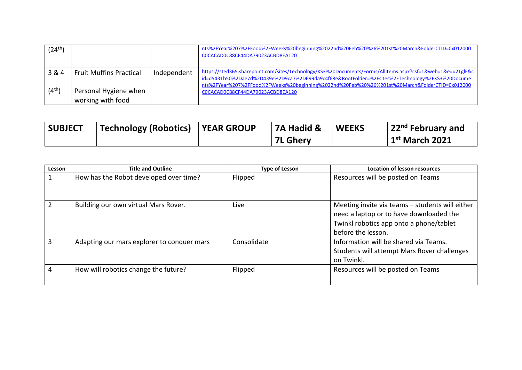| $(24^{th})$ |                                |             | nts%2FYear%207%2FFood%2FWeeks%20beginning%2022nd%20Feb%20%26%201st%20March&FolderCTID=0x012000<br>COCACADOC88CF44DA79023ACBD8EA120                                                                            |
|-------------|--------------------------------|-------------|---------------------------------------------------------------------------------------------------------------------------------------------------------------------------------------------------------------|
| 3 & 4       | <b>Fruit Muffins Practical</b> | Independent | https://sted365.sharepoint.com/sites/Technology/KS3%20Documents/Forms/AllItems.aspx?csf=1&web=1&e=u2TglF&c<br>id=d5431b50%2Dae7d%2D439e%2D9ca7%2D699da9c4f68e&RootFolder=%2Fsites%2FTechnology%2FKS3%20Docume |
| $(4^{th})$  | Personal Hygiene when          |             | nts%2FYear%207%2FFood%2FWeeks%20beginning%2022nd%20Feb%20%26%201st%20March&FolderCTID=0x012000<br>COCACADOC88CF44DA79023ACBD8EA120                                                                            |
|             | working with food              |             |                                                                                                                                                                                                               |

| <b>SUBJECT</b> | Technology (Robotics)   YEAR GROUP | $\overline{1}$ 7A Hadid & | <b>WEEKS</b> | $\vert$ 22 <sup>nd</sup> February and |
|----------------|------------------------------------|---------------------------|--------------|---------------------------------------|
|                |                                    | <b>7L Ghery</b>           |              | $1st$ March 2021                      |

| Lesson        | <b>Title and Outline</b>                   | <b>Type of Lesson</b> | <b>Location of lesson resources</b>                                                                                                                         |
|---------------|--------------------------------------------|-----------------------|-------------------------------------------------------------------------------------------------------------------------------------------------------------|
|               | How has the Robot developed over time?     | Flipped               | Resources will be posted on Teams                                                                                                                           |
| $\mathcal{P}$ | Building our own virtual Mars Rover.       | Live                  | Meeting invite via teams - students will either<br>need a laptop or to have downloaded the<br>Twinkl robotics app onto a phone/tablet<br>before the lesson. |
| 3             | Adapting our mars explorer to conquer mars | Consolidate           | Information will be shared via Teams.<br>Students will attempt Mars Rover challenges<br>on Twinkl.                                                          |
| 4             | How will robotics change the future?       | Flipped               | Resources will be posted on Teams                                                                                                                           |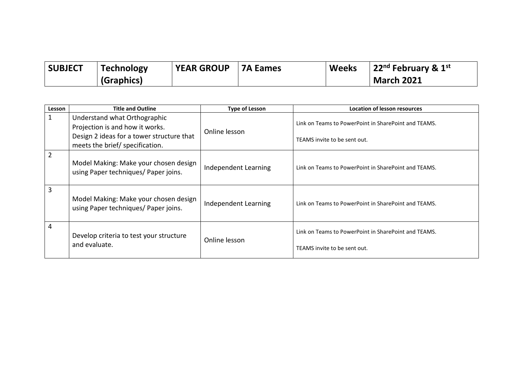| <b>SUBJECT</b> | <b>Technology</b> | <b>YEAR GROUP</b> | <b>7A Eames</b> | <b>Weeks</b> | $\vert$ 22 <sup>nd</sup> February & 1 <sup>st</sup> |
|----------------|-------------------|-------------------|-----------------|--------------|-----------------------------------------------------|
|                | (Graphics)        |                   |                 |              | <b>March 2021</b>                                   |

| Lesson | <b>Title and Outline</b>                                                      | <b>Type of Lesson</b> | <b>Location of lesson resources</b>                                                  |
|--------|-------------------------------------------------------------------------------|-----------------------|--------------------------------------------------------------------------------------|
| 1      | Understand what Orthographic<br>Projection is and how it works.               | Online lesson         | Link on Teams to PowerPoint in SharePoint and TEAMS.                                 |
|        | Design 2 ideas for a tower structure that<br>meets the brief/ specification.  |                       | TEAMS invite to be sent out.                                                         |
| 2      | Model Making: Make your chosen design<br>using Paper techniques/ Paper joins. | Independent Learning  | Link on Teams to PowerPoint in SharePoint and TEAMS.                                 |
| 3      | Model Making: Make your chosen design<br>using Paper techniques/ Paper joins. | Independent Learning  | Link on Teams to PowerPoint in SharePoint and TEAMS.                                 |
| 4      | Develop criteria to test your structure<br>and evaluate.                      | Online lesson         | Link on Teams to PowerPoint in SharePoint and TEAMS.<br>TEAMS invite to be sent out. |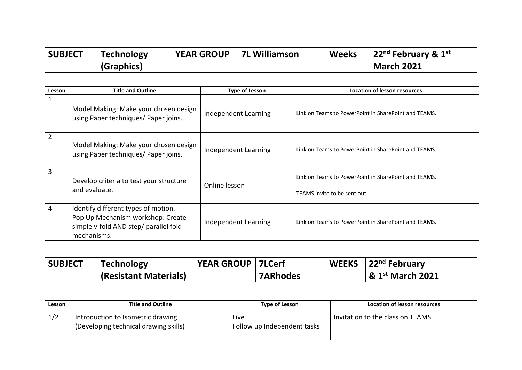| <b>SUBJECT</b> | <b>Technology</b> | <b>YEAR GROUP</b> | <b>7L Williamson</b> | <b>Weeks</b> | $\vert$ 22 <sup>nd</sup> February & 1st |
|----------------|-------------------|-------------------|----------------------|--------------|-----------------------------------------|
|                | (Graphics)        |                   |                      |              | <b>March 2021</b>                       |

| Lesson | <b>Title and Outline</b>                                                                                                         | <b>Type of Lesson</b> | <b>Location of lesson resources</b>                                                  |
|--------|----------------------------------------------------------------------------------------------------------------------------------|-----------------------|--------------------------------------------------------------------------------------|
|        | Model Making: Make your chosen design<br>using Paper techniques/ Paper joins.                                                    | Independent Learning  | Link on Teams to PowerPoint in SharePoint and TEAMS.                                 |
| 2      | Model Making: Make your chosen design<br>using Paper techniques/ Paper joins.                                                    | Independent Learning  | Link on Teams to PowerPoint in SharePoint and TEAMS.                                 |
| 3      | Develop criteria to test your structure<br>and evaluate.                                                                         | Online lesson         | Link on Teams to PowerPoint in SharePoint and TEAMS.<br>TEAMS invite to be sent out. |
| 4      | Identify different types of motion.<br>Pop Up Mechanism workshop: Create<br>simple v-fold AND step/ parallel fold<br>mechanisms. | Independent Learning  | Link on Teams to PowerPoint in SharePoint and TEAMS.                                 |

| <b>SUBJECT</b> | <b>Technology</b>            | <b>YEAR GROUP   7LCerf</b> |                 | WEEKS $\,$ 22 <sup>nd</sup> February |
|----------------|------------------------------|----------------------------|-----------------|--------------------------------------|
|                | <b>(Resistant Materials)</b> |                            | <b>7ARhodes</b> | $\vert$ & 1st March 2021             |

| Lesson | <b>Title and Outline</b>                                                   | Type of Lesson                       | Location of lesson resources     |
|--------|----------------------------------------------------------------------------|--------------------------------------|----------------------------------|
| 1/2    | Introduction to Isometric drawing<br>(Developing technical drawing skills) | Live.<br>Follow up Independent tasks | Invitation to the class on TEAMS |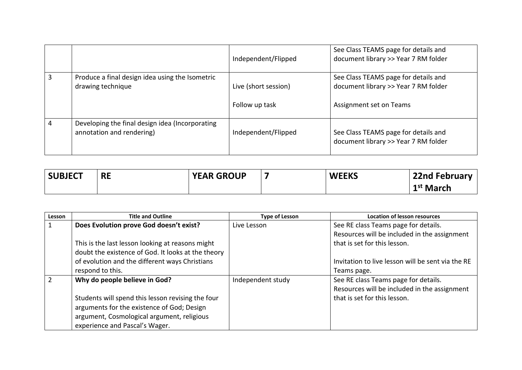|   |                                                                              | Independent/Flipped                    | See Class TEAMS page for details and<br>document library >> Year 7 RM folder                            |
|---|------------------------------------------------------------------------------|----------------------------------------|---------------------------------------------------------------------------------------------------------|
| 3 | Produce a final design idea using the Isometric<br>drawing technique         | Live (short session)<br>Follow up task | See Class TEAMS page for details and<br>document library >> Year 7 RM folder<br>Assignment set on Teams |
|   | Developing the final design idea (Incorporating<br>annotation and rendering) | Independent/Flipped                    | See Class TEAMS page for details and<br>document library >> Year 7 RM folder                            |

| <b>SUBJECT</b> | <b>RE</b> | <b>YEAR GROUP</b> | <b>WEEKS</b> | <b>22nd February</b>  |
|----------------|-----------|-------------------|--------------|-----------------------|
|                |           |                   |              | 1 <sup>st</sup> March |

| Lesson | <b>Title and Outline</b>                           | <b>Type of Lesson</b> | <b>Location of lesson resources</b>               |
|--------|----------------------------------------------------|-----------------------|---------------------------------------------------|
|        | Does Evolution prove God doesn't exist?            | Live Lesson           | See RE class Teams page for details.              |
|        |                                                    |                       | Resources will be included in the assignment      |
|        | This is the last lesson looking at reasons might   |                       | that is set for this lesson.                      |
|        | doubt the existence of God. It looks at the theory |                       |                                                   |
|        | of evolution and the different ways Christians     |                       | Invitation to live lesson will be sent via the RE |
|        | respond to this.                                   |                       | Teams page.                                       |
|        | Why do people believe in God?                      | Independent study     | See RE class Teams page for details.              |
|        |                                                    |                       | Resources will be included in the assignment      |
|        | Students will spend this lesson revising the four  |                       | that is set for this lesson.                      |
|        | arguments for the existence of God; Design         |                       |                                                   |
|        | argument, Cosmological argument, religious         |                       |                                                   |
|        | experience and Pascal's Wager.                     |                       |                                                   |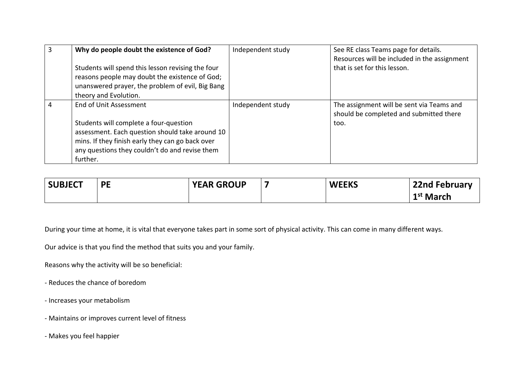|   | Why do people doubt the existence of God?<br>Students will spend this lesson revising the four<br>reasons people may doubt the existence of God;<br>unanswered prayer, the problem of evil, Big Bang<br>theory and Evolution.         | Independent study | See RE class Teams page for details.<br>Resources will be included in the assignment<br>that is set for this lesson. |
|---|---------------------------------------------------------------------------------------------------------------------------------------------------------------------------------------------------------------------------------------|-------------------|----------------------------------------------------------------------------------------------------------------------|
| 4 | End of Unit Assessment<br>Students will complete a four-question<br>assessment. Each question should take around 10<br>mins. If they finish early they can go back over<br>any questions they couldn't do and revise them<br>further. | Independent study | The assignment will be sent via Teams and<br>should be completed and submitted there<br>too.                         |

| <b>SUBJECT</b> | <b>PE</b> | <b>YEAR GROUP</b> | <b>WEEKS</b> | 22nd February         |
|----------------|-----------|-------------------|--------------|-----------------------|
|                |           |                   |              | 1 <sup>st</sup> March |

During your time at home, it is vital that everyone takes part in some sort of physical activity. This can come in many different ways.

Our advice is that you find the method that suits you and your family.

Reasons why the activity will be so beneficial:

- Reduces the chance of boredom
- Increases your metabolism
- Maintains or improves current level of fitness
- Makes you feel happier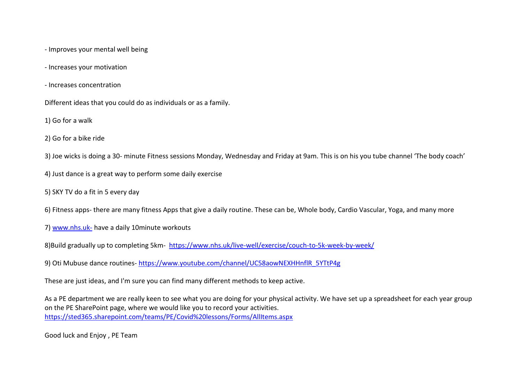- Improves your mental well being
- Increases your motivation
- Increases concentration

Different ideas that you could do as individuals or as a family.

1) Go for a walk

2) Go for a bike ride

3) Joe wicks is doing a 30- minute Fitness sessions Monday, Wednesday and Friday at 9am. This is on his you tube channel 'The body coach'

4) Just dance is a great way to perform some daily exercise

5) SKY TV do a fit in 5 every day

6) Fitness apps- there are many fitness Apps that give a daily routine. These can be, Whole body, Cardio Vascular, Yoga, and many more

7) [www.nhs.uk-](http://www.nhs.uk-/) have a daily 10minute workouts

8)Build gradually up to completing 5km- <https://www.nhs.uk/live-well/exercise/couch-to-5k-week-by-week/>

9) Oti Mubuse dance routines- [https://www.youtube.com/channel/UC58aowNEXHHnflR\\_5YTtP4g](https://www.youtube.com/channel/UC58aowNEXHHnflR_5YTtP4g)

These are just ideas, and I'm sure you can find many different methods to keep active.

As a PE department we are really keen to see what you are doing for your physical activity. We have set up a spreadsheet for each year group on the PE SharePoint page, where we would like you to record your activities. <https://sted365.sharepoint.com/teams/PE/Covid%20lessons/Forms/AllItems.aspx>

Good luck and Enjoy , PE Team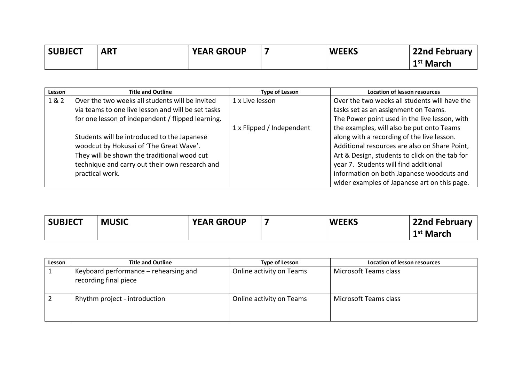| <b>SUBJECT</b> | <b>ART</b> | <b>YEAR GROUP</b> | <b>WEEKS</b> | <b>22nd February</b>  |
|----------------|------------|-------------------|--------------|-----------------------|
|                |            |                   |              | 1 <sup>st</sup> March |

| Lesson | <b>Title and Outline</b>                           | <b>Type of Lesson</b>     | <b>Location of lesson resources</b>            |
|--------|----------------------------------------------------|---------------------------|------------------------------------------------|
| 1&2    | Over the two weeks all students will be invited    | 1 x Live lesson           | Over the two weeks all students will have the  |
|        | via teams to one live lesson and will be set tasks |                           | tasks set as an assignment on Teams.           |
|        | for one lesson of independent / flipped learning.  |                           | The Power point used in the live lesson, with  |
|        |                                                    | 1 x Flipped / Independent | the examples, will also be put onto Teams      |
|        | Students will be introduced to the Japanese        |                           | along with a recording of the live lesson.     |
|        | woodcut by Hokusai of 'The Great Wave'.            |                           | Additional resources are also on Share Point,  |
|        | They will be shown the traditional wood cut        |                           | Art & Design, students to click on the tab for |
|        | technique and carry out their own research and     |                           | year 7. Students will find additional          |
|        | practical work.                                    |                           | information on both Japanese woodcuts and      |
|        |                                                    |                           | wider examples of Japanese art on this page.   |

| <b>SUBJECT</b> | <b>MUSIC</b> | <b>YEAR GROUP</b> | <b>WEEKS</b> | 22nd February         |
|----------------|--------------|-------------------|--------------|-----------------------|
|                |              |                   |              | 1 <sup>st</sup> March |

| Lesson | <b>Title and Outline</b>                                       | <b>Type of Lesson</b>    | Location of lesson resources |
|--------|----------------------------------------------------------------|--------------------------|------------------------------|
|        | Keyboard performance – rehearsing and<br>recording final piece | Online activity on Teams | Microsoft Teams class        |
|        | Rhythm project - introduction                                  | Online activity on Teams | Microsoft Teams class        |